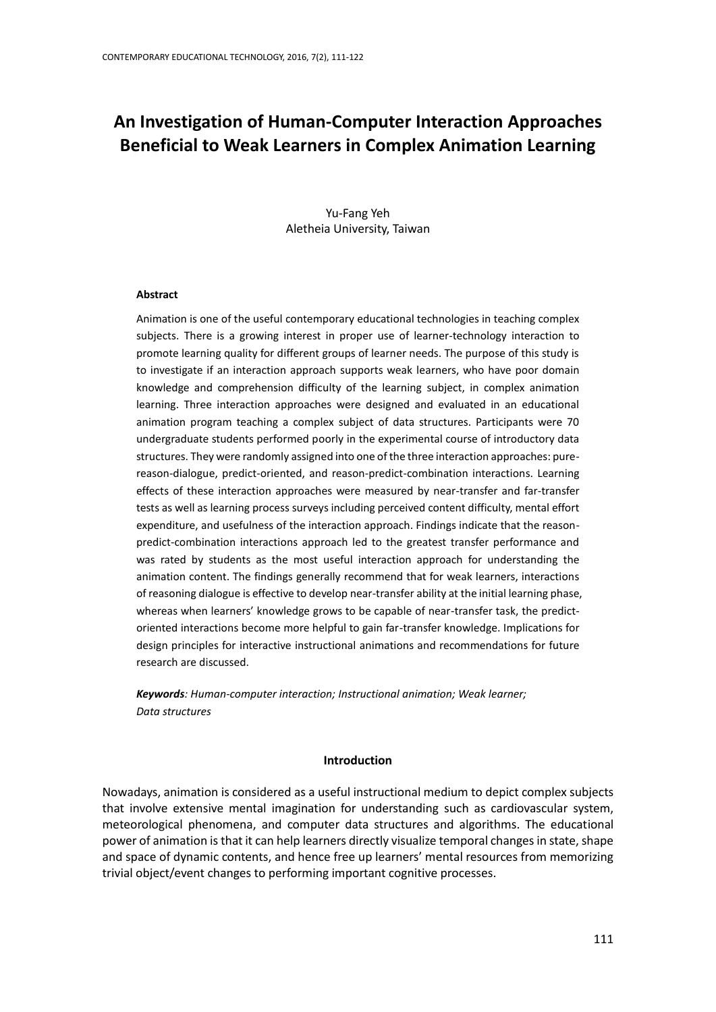# **An Investigation of Human-Computer Interaction Approaches Beneficial to Weak Learners in Complex Animation Learning**

Yu-Fang Yeh Aletheia University, Taiwan

# **Abstract**

Animation is one of the useful contemporary educational technologies in teaching complex subjects. There is a growing interest in proper use of learner-technology interaction to promote learning quality for different groups of learner needs. The purpose of this study is to investigate if an interaction approach supports weak learners, who have poor domain knowledge and comprehension difficulty of the learning subject, in complex animation learning. Three interaction approaches were designed and evaluated in an educational animation program teaching a complex subject of data structures. Participants were 70 undergraduate students performed poorly in the experimental course of introductory data structures. They were randomly assigned into one of the three interaction approaches: purereason-dialogue, predict-oriented, and reason-predict-combination interactions. Learning effects of these interaction approaches were measured by near-transfer and far-transfer tests as well as learning process surveys including perceived content difficulty, mental effort expenditure, and usefulness of the interaction approach. Findings indicate that the reasonpredict-combination interactions approach led to the greatest transfer performance and was rated by students as the most useful interaction approach for understanding the animation content. The findings generally recommend that for weak learners, interactions of reasoning dialogue is effective to develop near-transfer ability at the initial learning phase, whereas when learners' knowledge grows to be capable of near-transfer task, the predictoriented interactions become more helpful to gain far-transfer knowledge. Implications for design principles for interactive instructional animations and recommendations for future research are discussed.

*Keywords: Human-computer interaction; Instructional animation; Weak learner; Data structures*

#### **Introduction**

Nowadays, animation is considered as a useful instructional medium to depict complex subjects that involve extensive mental imagination for understanding such as cardiovascular system, meteorological phenomena, and computer data structures and algorithms. The educational power of animation is that it can help learners directly visualize temporal changes in state, shape and space of dynamic contents, and hence free up learners' mental resources from memorizing trivial object/event changes to performing important cognitive processes.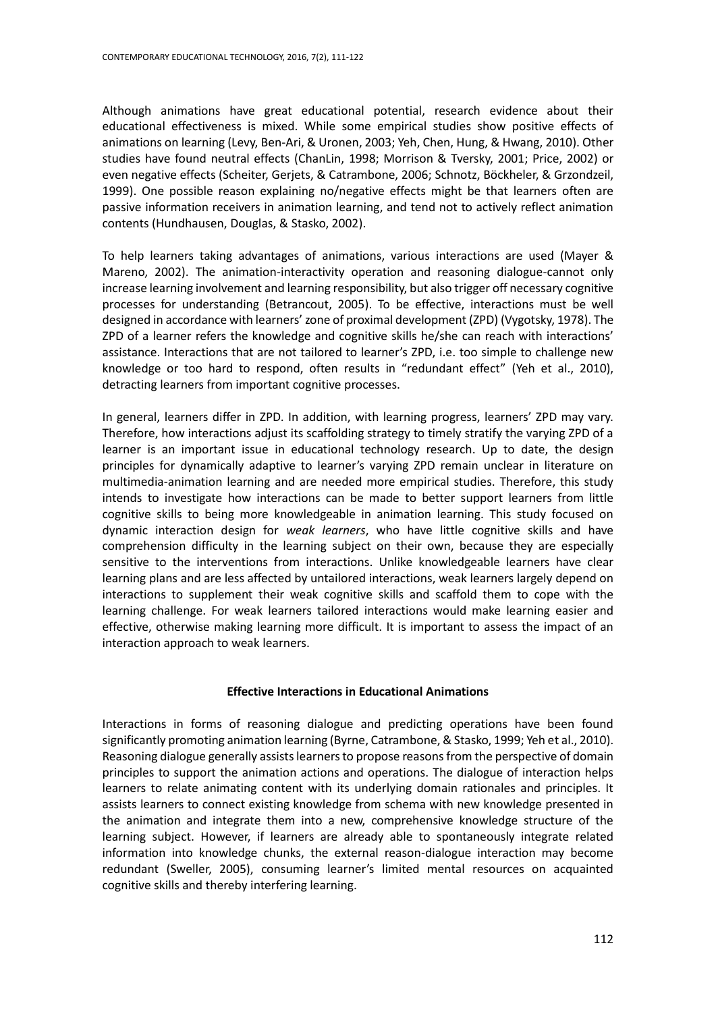Although animations have great educational potential, research evidence about their educational effectiveness is mixed. While some empirical studies show positive effects of animations on learning (Levy, Ben-Ari, & Uronen, 2003; Yeh, Chen, Hung, & Hwang, 2010). Other studies have found neutral effects (ChanLin, 1998; Morrison & Tversky, 2001; Price, 2002) or even negative effects (Scheiter, Gerjets, & Catrambone, 2006; Schnotz, Böckheler, & Grzondzeil, 1999). One possible reason explaining no/negative effects might be that learners often are passive information receivers in animation learning, and tend not to actively reflect animation contents (Hundhausen, Douglas, & Stasko, 2002).

To help learners taking advantages of animations, various interactions are used (Mayer & Mareno, 2002). The animation-interactivity operation and reasoning dialogue-cannot only increase learning involvement and learning responsibility, but also trigger off necessary cognitive processes for understanding (Betrancout, 2005). To be effective, interactions must be well designed in accordance with learners' zone of proximal development (ZPD) (Vygotsky, 1978). The ZPD of a learner refers the knowledge and cognitive skills he/she can reach with interactions' assistance. Interactions that are not tailored to learner's ZPD, i.e. too simple to challenge new knowledge or too hard to respond, often results in "redundant effect" (Yeh et al., 2010), detracting learners from important cognitive processes.

In general, learners differ in ZPD. In addition, with learning progress, learners' ZPD may vary. Therefore, how interactions adjust its scaffolding strategy to timely stratify the varying ZPD of a learner is an important issue in educational technology research. Up to date, the design principles for dynamically adaptive to learner's varying ZPD remain unclear in literature on multimedia-animation learning and are needed more empirical studies. Therefore, this study intends to investigate how interactions can be made to better support learners from little cognitive skills to being more knowledgeable in animation learning. This study focused on dynamic interaction design for *weak learners*, who have little cognitive skills and have comprehension difficulty in the learning subject on their own, because they are especially sensitive to the interventions from interactions. Unlike knowledgeable learners have clear learning plans and are less affected by untailored interactions, weak learners largely depend on interactions to supplement their weak cognitive skills and scaffold them to cope with the learning challenge. For weak learners tailored interactions would make learning easier and effective, otherwise making learning more difficult. It is important to assess the impact of an interaction approach to weak learners.

# **Effective Interactions in Educational Animations**

Interactions in forms of reasoning dialogue and predicting operations have been found significantly promoting animation learning (Byrne, Catrambone, & Stasko, 1999; Yeh et al., 2010). Reasoning dialogue generally assists learners to propose reasons from the perspective of domain principles to support the animation actions and operations. The dialogue of interaction helps learners to relate animating content with its underlying domain rationales and principles. It assists learners to connect existing knowledge from schema with new knowledge presented in the animation and integrate them into a new, comprehensive knowledge structure of the learning subject. However, if learners are already able to spontaneously integrate related information into knowledge chunks, the external reason-dialogue interaction may become redundant (Sweller, 2005), consuming learner's limited mental resources on acquainted cognitive skills and thereby interfering learning.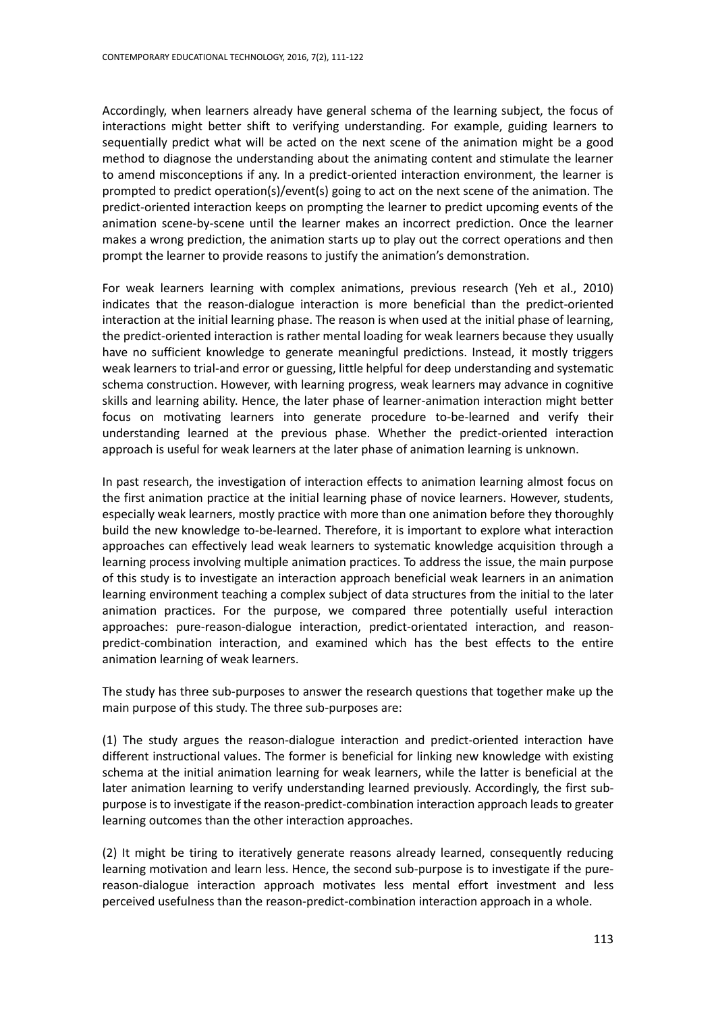Accordingly, when learners already have general schema of the learning subject, the focus of interactions might better shift to verifying understanding. For example, guiding learners to sequentially predict what will be acted on the next scene of the animation might be a good method to diagnose the understanding about the animating content and stimulate the learner to amend misconceptions if any. In a predict-oriented interaction environment, the learner is prompted to predict operation(s)/event(s) going to act on the next scene of the animation. The predict-oriented interaction keeps on prompting the learner to predict upcoming events of the animation scene-by-scene until the learner makes an incorrect prediction. Once the learner makes a wrong prediction, the animation starts up to play out the correct operations and then prompt the learner to provide reasons to justify the animation's demonstration.

For weak learners learning with complex animations, previous research (Yeh et al., 2010) indicates that the reason-dialogue interaction is more beneficial than the predict-oriented interaction at the initial learning phase. The reason is when used at the initial phase of learning, the predict-oriented interaction is rather mental loading for weak learners because they usually have no sufficient knowledge to generate meaningful predictions. Instead, it mostly triggers weak learners to trial-and error or guessing, little helpful for deep understanding and systematic schema construction. However, with learning progress, weak learners may advance in cognitive skills and learning ability. Hence, the later phase of learner-animation interaction might better focus on motivating learners into generate procedure to-be-learned and verify their understanding learned at the previous phase. Whether the predict-oriented interaction approach is useful for weak learners at the later phase of animation learning is unknown.

In past research, the investigation of interaction effects to animation learning almost focus on the first animation practice at the initial learning phase of novice learners. However, students, especially weak learners, mostly practice with more than one animation before they thoroughly build the new knowledge to-be-learned. Therefore, it is important to explore what interaction approaches can effectively lead weak learners to systematic knowledge acquisition through a learning process involving multiple animation practices. To address the issue, the main purpose of this study is to investigate an interaction approach beneficial weak learners in an animation learning environment teaching a complex subject of data structures from the initial to the later animation practices. For the purpose, we compared three potentially useful interaction approaches: pure-reason-dialogue interaction, predict-orientated interaction, and reasonpredict-combination interaction, and examined which has the best effects to the entire animation learning of weak learners.

The study has three sub-purposes to answer the research questions that together make up the main purpose of this study. The three sub-purposes are:

(1) The study argues the reason-dialogue interaction and predict-oriented interaction have different instructional values. The former is beneficial for linking new knowledge with existing schema at the initial animation learning for weak learners, while the latter is beneficial at the later animation learning to verify understanding learned previously. Accordingly, the first subpurpose is to investigate if the reason-predict-combination interaction approach leads to greater learning outcomes than the other interaction approaches.

(2) It might be tiring to iteratively generate reasons already learned, consequently reducing learning motivation and learn less. Hence, the second sub-purpose is to investigate if the purereason-dialogue interaction approach motivates less mental effort investment and less perceived usefulness than the reason-predict-combination interaction approach in a whole.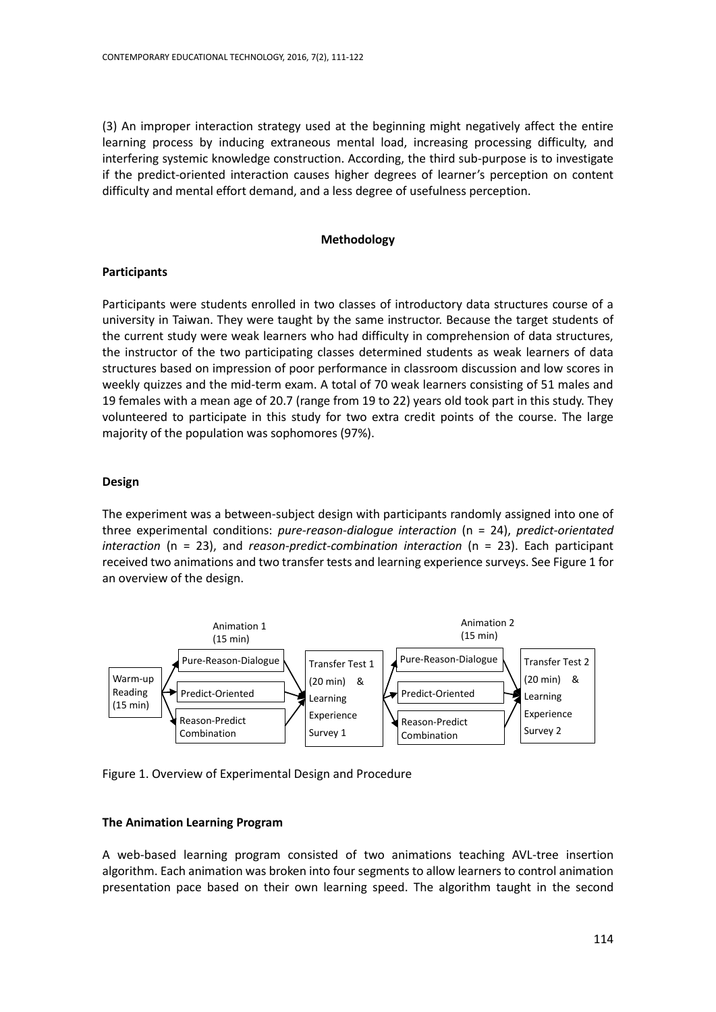(3) An improper interaction strategy used at the beginning might negatively affect the entire learning process by inducing extraneous mental load, increasing processing difficulty, and interfering systemic knowledge construction. According, the third sub-purpose is to investigate if the predict-oriented interaction causes higher degrees of learner's perception on content difficulty and mental effort demand, and a less degree of usefulness perception.

#### **Methodology**

#### **Participants**

Participants were students enrolled in two classes of introductory data structures course of a university in Taiwan. They were taught by the same instructor. Because the target students of the current study were weak learners who had difficulty in comprehension of data structures, the instructor of the two participating classes determined students as weak learners of data structures based on impression of poor performance in classroom discussion and low scores in weekly quizzes and the mid-term exam. A total of 70 weak learners consisting of 51 males and 19 females with a mean age of 20.7 (range from 19 to 22) years old took part in this study. They volunteered to participate in this study for two extra credit points of the course. The large majority of the population was sophomores (97%).

#### **Design**

The experiment was a between-subject design with participants randomly assigned into one of three experimental conditions: *pure-reason-dialogue interaction* (n = 24), *predict-orientated interaction* (n = 23), and *reason-predict-combination interaction* (n = 23). Each participant received two animations and two transfer tests and learning experience surveys. See Figure 1 for an overview of the design.



Figure 1. Overview of Experimental Design and Procedure

# **The Animation Learning Program**

A web-based learning program consisted of two animations teaching AVL-tree insertion algorithm. Each animation was broken into four segments to allow learners to control animation presentation pace based on their own learning speed. The algorithm taught in the second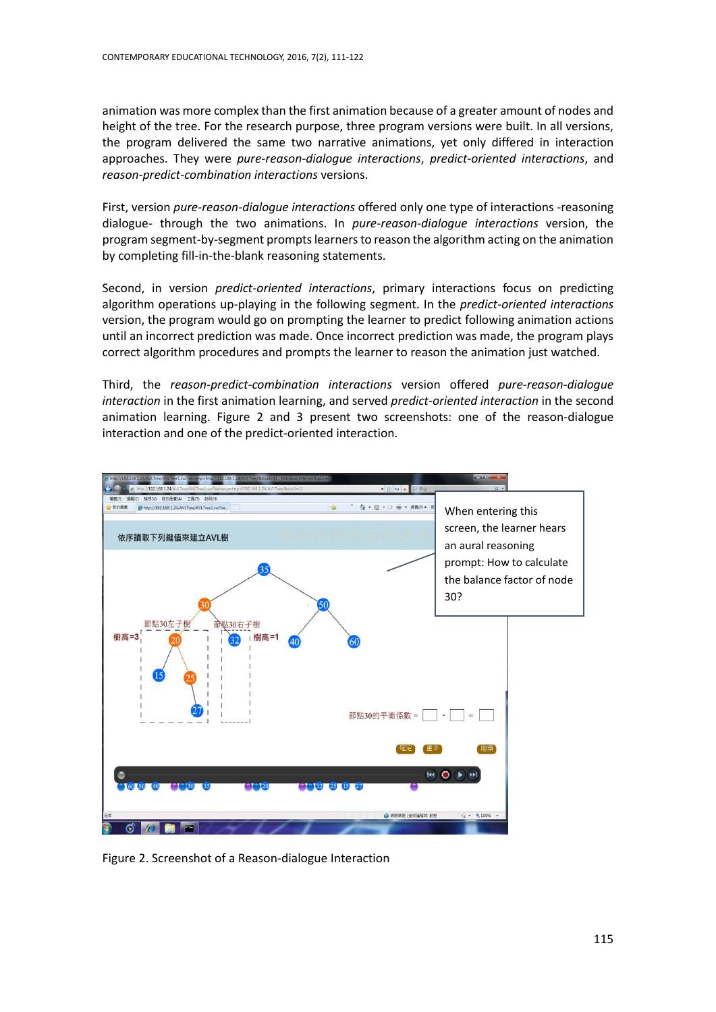animation was more complex than the first animation because of a greater amount of nodes and height of the tree. For the research purpose, three program versions were built. In all versions, the program delivered the same two narrative animations, yet only differed in interaction approaches. They were *pure-reason-dialogue interactions*, *predict-oriented interactions*, and *reason-predict-combination interactions* versions.

First, version *pure-reason-dialogue interactions* offered only one type of interactions -reasoning dialogue- through the two animations. In *pure-reason-dialogue interactions* version, the program segment-by-segment prompts learners to reason the algorithm acting on the animation by completing fill-in-the-blank reasoning statements.

Second, in version *predict-oriented interactions*, primary interactions focus on predicting algorithm operations up-playing in the following segment. In the *predict-oriented interactions* version, the program would go on prompting the learner to predict following animation actions until an incorrect prediction was made. Once incorrect prediction was made, the program plays correct algorithm procedures and prompts the learner to reason the animation just watched.

Third, the *reason-predict-combination interactions* version offered *pure-reason-dialogue interaction* in the first animation learning, and served *predict-oriented interaction* in the second animation learning. Figure 2 and 3 present two screenshots: one of the reason-dialogue interaction and one of the predict-oriented interaction.



Figure 2. Screenshot of a Reason-dialogue Interaction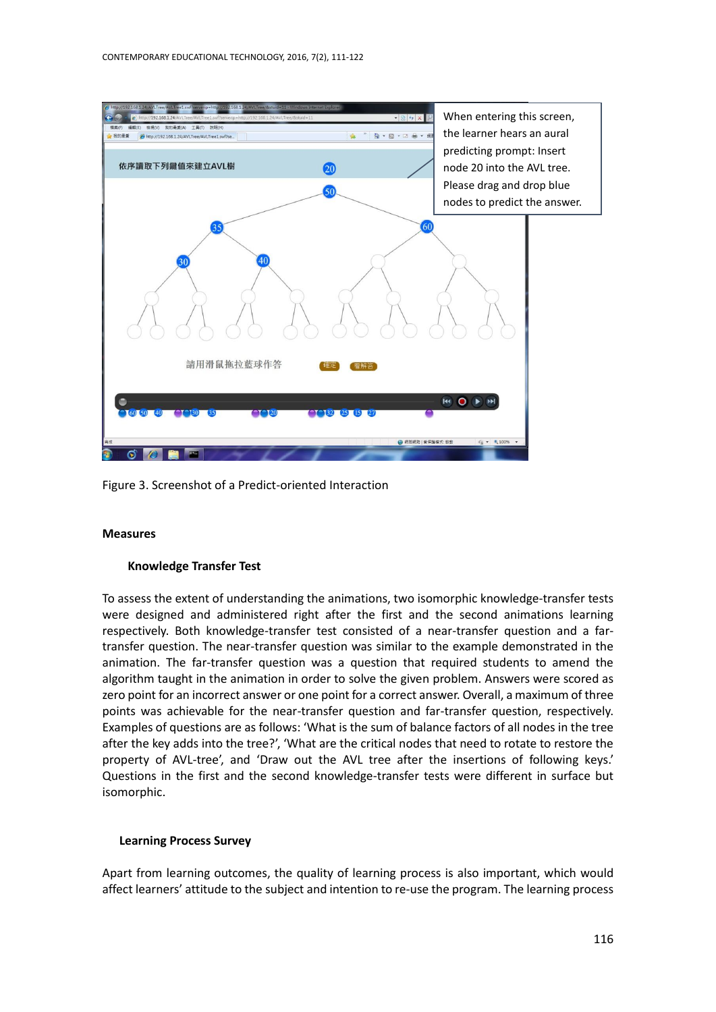

Figure 3. Screenshot of a Predict-oriented Interaction

# **Measures**

# **Knowledge Transfer Test**

To assess the extent of understanding the animations, two isomorphic knowledge-transfer tests were designed and administered right after the first and the second animations learning respectively. Both knowledge-transfer test consisted of a near-transfer question and a fartransfer question. The near-transfer question was similar to the example demonstrated in the animation. The far-transfer question was a question that required students to amend the algorithm taught in the animation in order to solve the given problem. Answers were scored as zero point for an incorrect answer or one point for a correct answer. Overall, a maximum of three points was achievable for the near-transfer question and far-transfer question, respectively. Examples of questions are as follows: 'What is the sum of balance factors of all nodes in the tree after the key adds into the tree?', 'What are the critical nodes that need to rotate to restore the property of AVL-tree', and 'Draw out the AVL tree after the insertions of following keys.' Questions in the first and the second knowledge-transfer tests were different in surface but isomorphic.

# **Learning Process Survey**

Apart from learning outcomes, the quality of learning process is also important, which would affect learners' attitude to the subject and intention to re-use the program. The learning process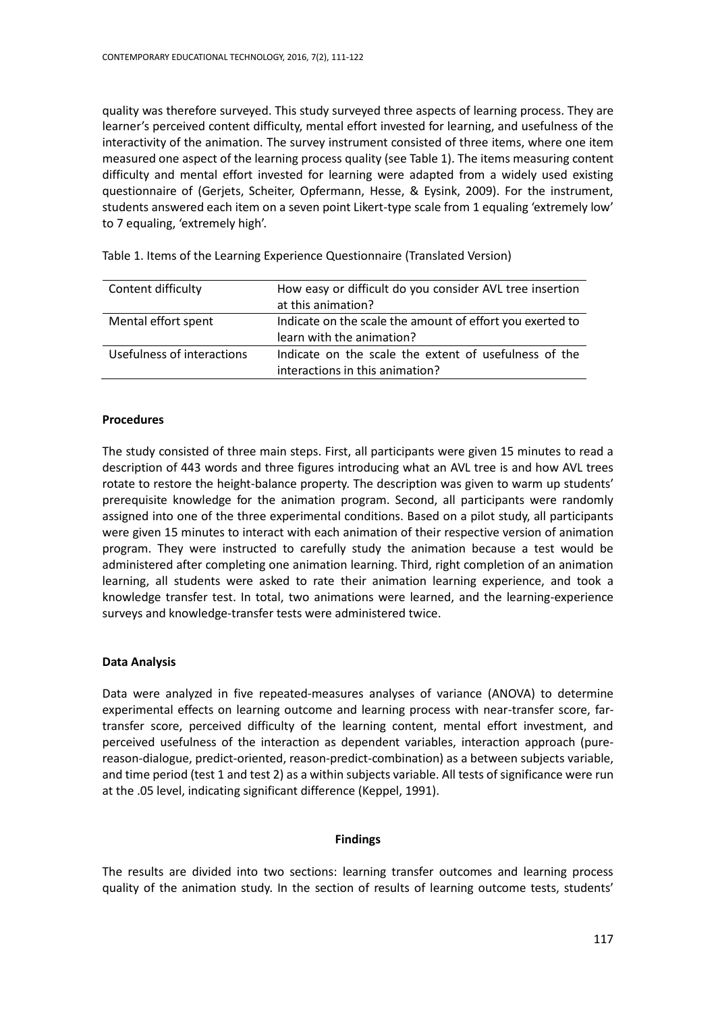quality was therefore surveyed. This study surveyed three aspects of learning process. They are learner's perceived content difficulty, mental effort invested for learning, and usefulness of the interactivity of the animation. The survey instrument consisted of three items, where one item measured one aspect of the learning process quality (see Table 1). The items measuring content difficulty and mental effort invested for learning were adapted from a widely used existing questionnaire of (Gerjets, Scheiter, Opfermann, Hesse, & Eysink, 2009). For the instrument, students answered each item on a seven point Likert-type scale from 1 equaling 'extremely low' to 7 equaling, 'extremely high'.

| Content difficulty         | How easy or difficult do you consider AVL tree insertion<br>at this animation?           |
|----------------------------|------------------------------------------------------------------------------------------|
| Mental effort spent        | Indicate on the scale the amount of effort you exerted to<br>learn with the animation?   |
| Usefulness of interactions | Indicate on the scale the extent of usefulness of the<br>interactions in this animation? |

Table 1. Items of the Learning Experience Questionnaire (Translated Version)

# **Procedures**

The study consisted of three main steps. First, all participants were given 15 minutes to read a description of 443 words and three figures introducing what an AVL tree is and how AVL trees rotate to restore the height-balance property. The description was given to warm up students' prerequisite knowledge for the animation program. Second, all participants were randomly assigned into one of the three experimental conditions. Based on a pilot study, all participants were given 15 minutes to interact with each animation of their respective version of animation program. They were instructed to carefully study the animation because a test would be administered after completing one animation learning. Third, right completion of an animation learning, all students were asked to rate their animation learning experience, and took a knowledge transfer test. In total, two animations were learned, and the learning-experience surveys and knowledge-transfer tests were administered twice.

# **Data Analysis**

Data were analyzed in five repeated-measures analyses of variance (ANOVA) to determine experimental effects on learning outcome and learning process with near-transfer score, fartransfer score, perceived difficulty of the learning content, mental effort investment, and perceived usefulness of the interaction as dependent variables, interaction approach (purereason-dialogue, predict-oriented, reason-predict-combination) as a between subjects variable, and time period (test 1 and test 2) as a within subjects variable. All tests of significance were run at the .05 level, indicating significant difference (Keppel, 1991).

# **Findings**

The results are divided into two sections: learning transfer outcomes and learning process quality of the animation study. In the section of results of learning outcome tests, students'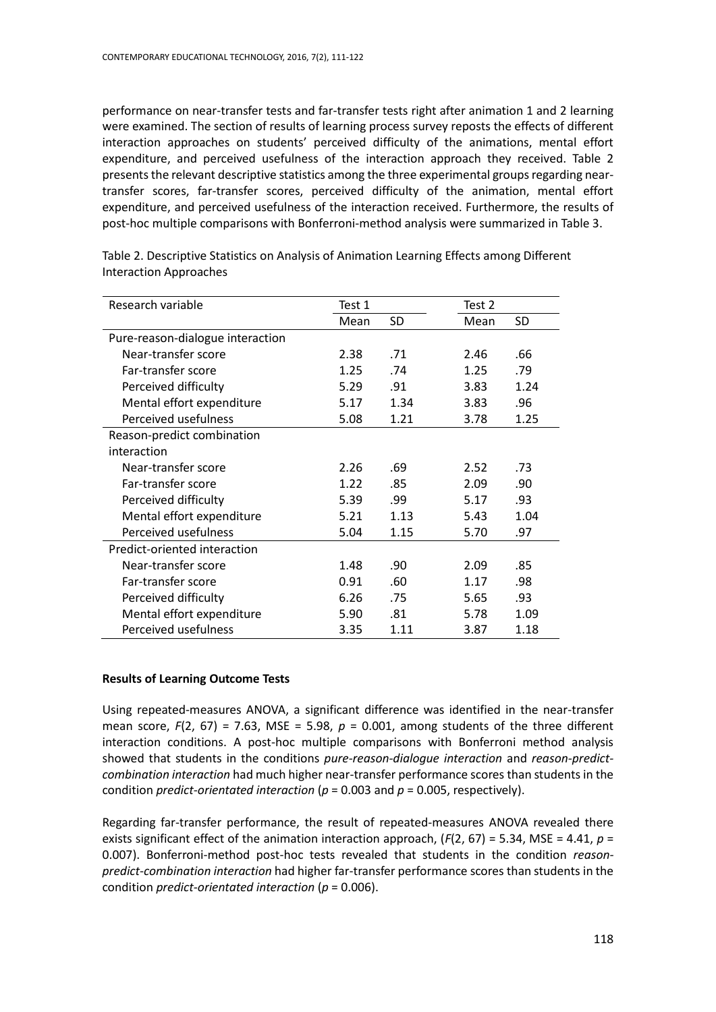performance on near-transfer tests and far-transfer tests right after animation 1 and 2 learning were examined. The section of results of learning process survey reposts the effects of different interaction approaches on students' perceived difficulty of the animations, mental effort expenditure, and perceived usefulness of the interaction approach they received. Table 2 presents the relevant descriptive statistics among the three experimental groups regarding neartransfer scores, far-transfer scores, perceived difficulty of the animation, mental effort expenditure, and perceived usefulness of the interaction received. Furthermore, the results of post-hoc multiple comparisons with Bonferroni-method analysis were summarized in Table 3.

| Research variable                | Test 1 |      | Test 2 |      |
|----------------------------------|--------|------|--------|------|
|                                  | Mean   | SD   | Mean   | SD   |
| Pure-reason-dialogue interaction |        |      |        |      |
| Near-transfer score              | 2.38   | .71  | 2.46   | .66  |
| Far-transfer score               | 1.25   | .74  | 1.25   | .79  |
| Perceived difficulty             | 5.29   | .91  | 3.83   | 1.24 |
| Mental effort expenditure        | 5.17   | 1.34 | 3.83   | .96  |
| Perceived usefulness             | 5.08   | 1.21 | 3.78   | 1.25 |
| Reason-predict combination       |        |      |        |      |
| interaction                      |        |      |        |      |
| Near-transfer score              | 2.26   | .69  | 2.52   | .73  |
| Far-transfer score               | 1.22   | .85  | 2.09   | .90  |
| Perceived difficulty             | 5.39   | .99  | 5.17   | .93  |
| Mental effort expenditure        | 5.21   | 1.13 | 5.43   | 1.04 |
| Perceived usefulness             | 5.04   | 1.15 | 5.70   | .97  |
| Predict-oriented interaction     |        |      |        |      |
| Near-transfer score              | 1.48   | .90  | 2.09   | .85  |
| Far-transfer score               | 0.91   | .60  | 1.17   | .98  |
| Perceived difficulty             | 6.26   | .75  | 5.65   | .93  |
| Mental effort expenditure        | 5.90   | .81  | 5.78   | 1.09 |
| Perceived usefulness             | 3.35   | 1.11 | 3.87   | 1.18 |

Table 2. Descriptive Statistics on Analysis of Animation Learning Effects among Different Interaction Approaches

# **Results of Learning Outcome Tests**

Using repeated-measures ANOVA, a significant difference was identified in the near-transfer mean score,  $F(2, 67) = 7.63$ , MSE = 5.98,  $p = 0.001$ , among students of the three different interaction conditions. A post-hoc multiple comparisons with Bonferroni method analysis showed that students in the conditions *pure-reason-dialogue interaction* and *reason-predictcombination interaction* had much higher near-transfer performance scores than students in the condition *predict-orientated interaction* (*p* = 0.003 and *p* = 0.005, respectively).

Regarding far-transfer performance, the result of repeated-measures ANOVA revealed there exists significant effect of the animation interaction approach, (*F*(2, 67) = 5.34, MSE = 4.41, *p* = 0.007). Bonferroni-method post-hoc tests revealed that students in the condition *reasonpredict-combination interaction* had higher far-transfer performance scores than students in the condition *predict-orientated interaction* (*p* = 0.006).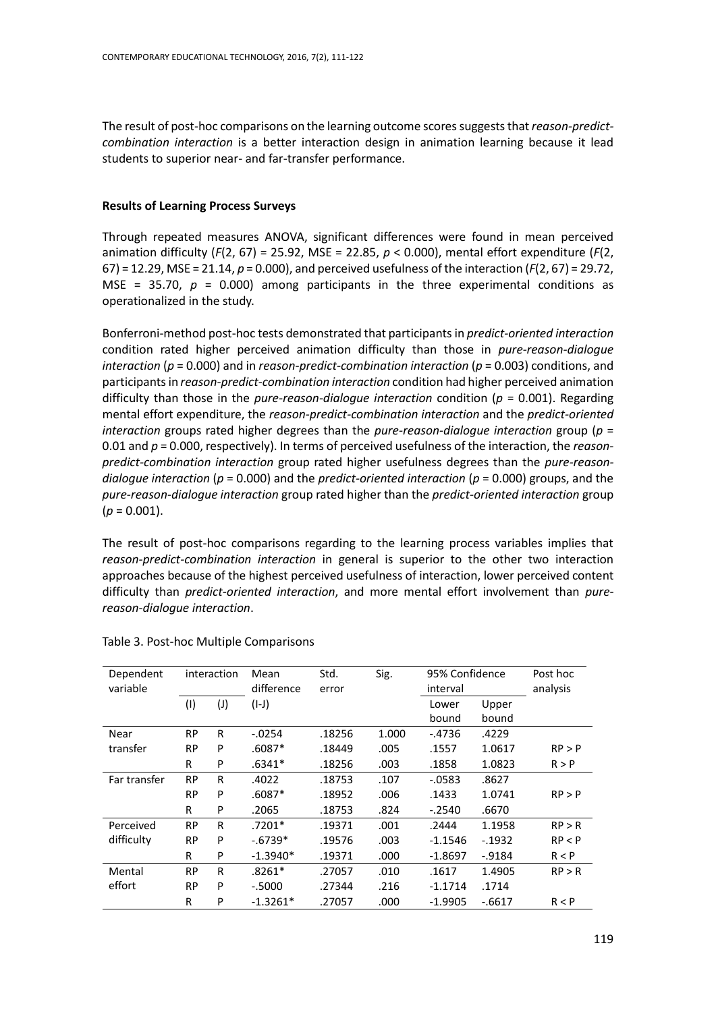The result of post-hoc comparisons on the learning outcome scores suggests that *reason-predictcombination interaction* is a better interaction design in animation learning because it lead students to superior near- and far-transfer performance.

# **Results of Learning Process Surveys**

Through repeated measures ANOVA, significant differences were found in mean perceived animation difficulty (*F*(2, 67) = 25.92, MSE = 22.85, *p* < 0.000), mental effort expenditure (*F*(2, 67) = 12.29, MSE = 21.14, *p* = 0.000), and perceived usefulness of the interaction (*F*(2, 67) = 29.72, MSE =  $35.70$ ,  $p = 0.000$ ) among participants in the three experimental conditions as operationalized in the study.

Bonferroni-method post-hoc tests demonstrated that participants in *predict-oriented interaction* condition rated higher perceived animation difficulty than those in *pure-reason-dialogue interaction* (*p* = 0.000) and in *reason-predict-combination interaction* (*p* = 0.003) conditions, and participants in *reason-predict-combination interaction* condition had higher perceived animation difficulty than those in the *pure-reason-dialogue interaction* condition (*p* = 0.001). Regarding mental effort expenditure, the *reason-predict-combination interaction* and the *predict-oriented interaction* groups rated higher degrees than the *pure-reason-dialogue interaction* group (*p* = 0.01 and *p* = 0.000, respectively). In terms of perceived usefulness of the interaction, the *reasonpredict-combination interaction* group rated higher usefulness degrees than the *pure-reasondialogue interaction* (*p* = 0.000) and the *predict-oriented interaction* (*p* = 0.000) groups, and the *pure-reason-dialogue interaction* group rated higher than the *predict-oriented interaction* group  $(p = 0.001)$ .

The result of post-hoc comparisons regarding to the learning process variables implies that *reason-predict-combination interaction* in general is superior to the other two interaction approaches because of the highest perceived usefulness of interaction, lower perceived content difficulty than *predict-oriented interaction*, and more mental effort involvement than *purereason-dialogue interaction*.

| Dependent<br>variable | interaction |                | Mean<br>difference |        | Std.<br>Sig.<br>error |           | 95% Confidence<br>interval |        |
|-----------------------|-------------|----------------|--------------------|--------|-----------------------|-----------|----------------------------|--------|
|                       | (1)         | $(\mathsf{I})$ | $(I-J)$            |        |                       | Lower     | Upper                      |        |
|                       |             |                |                    |        |                       | bound     | bound                      |        |
| Near                  | <b>RP</b>   | R              | $-0.0254$          | .18256 | 1.000                 | $-4736$   | .4229                      |        |
| transfer              | <b>RP</b>   | P              | $.6087*$           | .18449 | .005                  | .1557     | 1.0617                     | RP > P |
|                       | R           | P              | $.6341*$           | .18256 | .003                  | .1858     | 1.0823                     | R > P  |
| Far transfer          | <b>RP</b>   | R              | .4022              | .18753 | .107                  | $-0583$   | .8627                      |        |
|                       | <b>RP</b>   | P              | $.6087*$           | .18952 | .006                  | .1433     | 1.0741                     | RP > P |
|                       | R           | P              | .2065              | .18753 | .824                  | $-2540$   | .6670                      |        |
| Perceived             | <b>RP</b>   | R              | $.7201*$           | .19371 | .001                  | .2444     | 1.1958                     | RP > R |
| difficulty            | <b>RP</b>   | P              | $-6739*$           | .19576 | .003                  | $-1.1546$ | $-1932$                    | RP < P |
|                       | R           | P              | $-1.3940*$         | .19371 | .000                  | $-1.8697$ | $-0.9184$                  | R < P  |
| Mental                | <b>RP</b>   | R              | $.8261*$           | .27057 | .010                  | .1617     | 1.4905                     | RP > R |
| effort                | <b>RP</b>   | P              | $-5000$            | .27344 | .216                  | $-1.1714$ | .1714                      |        |
|                       | R           | P              | $-1.3261*$         | .27057 | .000                  | $-1.9905$ | $-6617$                    | R < P  |

# Table 3. Post-hoc Multiple Comparisons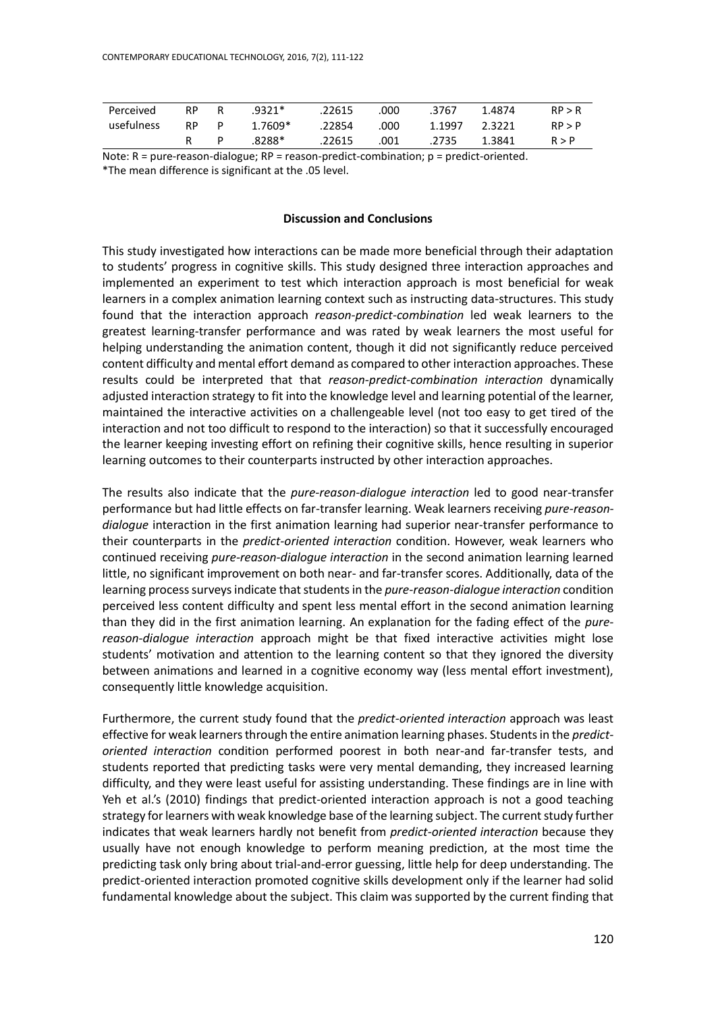| Perceived  | <b>RP</b> | R  | .9321*  | .22615 | .000 | .3767  | 1.4874 | RP > R |
|------------|-----------|----|---------|--------|------|--------|--------|--------|
| usefulness | <b>RP</b> | P. | 1.7609* | .22854 | .000 | 1.1997 | 2.3221 | RP > P |
|            |           |    | .8288*  | .22615 | .001 | .2735  | 1.3841 | R > P  |

Note:  $R = pure-reason-dialogue$ ;  $RP = reason-predict-combination$ ;  $p = predict-oriented$ . \*The mean difference is significant at the .05 level.

# **Discussion and Conclusions**

This study investigated how interactions can be made more beneficial through their adaptation to students' progress in cognitive skills. This study designed three interaction approaches and implemented an experiment to test which interaction approach is most beneficial for weak learners in a complex animation learning context such as instructing data-structures. This study found that the interaction approach *reason-predict-combination* led weak learners to the greatest learning-transfer performance and was rated by weak learners the most useful for helping understanding the animation content, though it did not significantly reduce perceived content difficulty and mental effort demand as compared to other interaction approaches. These results could be interpreted that that *reason-predict-combination interaction* dynamically adjusted interaction strategy to fit into the knowledge level and learning potential of the learner, maintained the interactive activities on a challengeable level (not too easy to get tired of the interaction and not too difficult to respond to the interaction) so that it successfully encouraged the learner keeping investing effort on refining their cognitive skills, hence resulting in superior learning outcomes to their counterparts instructed by other interaction approaches.

The results also indicate that the *pure-reason-dialogue interaction* led to good near-transfer performance but had little effects on far-transfer learning. Weak learners receiving *pure-reasondialogue* interaction in the first animation learning had superior near-transfer performance to their counterparts in the *predict-oriented interaction* condition. However, weak learners who continued receiving *pure-reason-dialogue interaction* in the second animation learning learned little, no significant improvement on both near- and far-transfer scores. Additionally, data of the learning process surveys indicate that students in the *pure-reason-dialogue interaction* condition perceived less content difficulty and spent less mental effort in the second animation learning than they did in the first animation learning. An explanation for the fading effect of the *purereason-dialogue interaction* approach might be that fixed interactive activities might lose students' motivation and attention to the learning content so that they ignored the diversity between animations and learned in a cognitive economy way (less mental effort investment), consequently little knowledge acquisition.

Furthermore, the current study found that the *predict-oriented interaction* approach was least effective for weak learners through the entire animation learning phases. Students in the *predictoriented interaction* condition performed poorest in both near-and far-transfer tests, and students reported that predicting tasks were very mental demanding, they increased learning difficulty, and they were least useful for assisting understanding. These findings are in line with Yeh et al.'s (2010) findings that predict-oriented interaction approach is not a good teaching strategy for learners with weak knowledge base of the learning subject. The current study further indicates that weak learners hardly not benefit from *predict-oriented interaction* because they usually have not enough knowledge to perform meaning prediction, at the most time the predicting task only bring about trial-and-error guessing, little help for deep understanding. The predict-oriented interaction promoted cognitive skills development only if the learner had solid fundamental knowledge about the subject. This claim was supported by the current finding that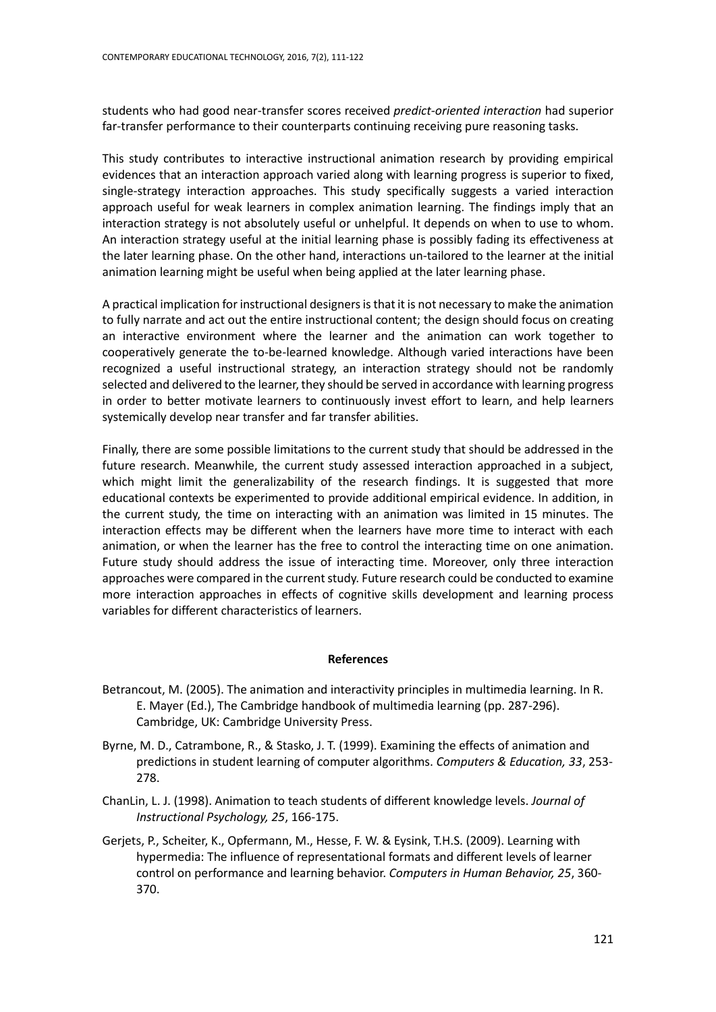students who had good near-transfer scores received *predict-oriented interaction* had superior far-transfer performance to their counterparts continuing receiving pure reasoning tasks.

This study contributes to interactive instructional animation research by providing empirical evidences that an interaction approach varied along with learning progress is superior to fixed, single-strategy interaction approaches. This study specifically suggests a varied interaction approach useful for weak learners in complex animation learning. The findings imply that an interaction strategy is not absolutely useful or unhelpful. It depends on when to use to whom. An interaction strategy useful at the initial learning phase is possibly fading its effectiveness at the later learning phase. On the other hand, interactions un-tailored to the learner at the initial animation learning might be useful when being applied at the later learning phase.

A practical implication for instructional designers is that it is not necessary to make the animation to fully narrate and act out the entire instructional content; the design should focus on creating an interactive environment where the learner and the animation can work together to cooperatively generate the to-be-learned knowledge. Although varied interactions have been recognized a useful instructional strategy, an interaction strategy should not be randomly selected and delivered to the learner, they should be served in accordance with learning progress in order to better motivate learners to continuously invest effort to learn, and help learners systemically develop near transfer and far transfer abilities.

Finally, there are some possible limitations to the current study that should be addressed in the future research. Meanwhile, the current study assessed interaction approached in a subject, which might limit the generalizability of the research findings. It is suggested that more educational contexts be experimented to provide additional empirical evidence. In addition, in the current study, the time on interacting with an animation was limited in 15 minutes. The interaction effects may be different when the learners have more time to interact with each animation, or when the learner has the free to control the interacting time on one animation. Future study should address the issue of interacting time. Moreover, only three interaction approaches were compared in the current study. Future research could be conducted to examine more interaction approaches in effects of cognitive skills development and learning process variables for different characteristics of learners.

#### **References**

- Betrancout, M. (2005). The animation and interactivity principles in multimedia learning. In R. E. Mayer (Ed.), The Cambridge handbook of multimedia learning (pp. 287-296). Cambridge, UK: Cambridge University Press.
- Byrne, M. D., Catrambone, R., & Stasko, J. T. (1999). Examining the effects of animation and predictions in student learning of computer algorithms. *Computers & Education, 33*, 253- 278.
- ChanLin, L. J. (1998). Animation to teach students of different knowledge levels. *Journal of Instructional Psychology, 25*, 166-175.
- Gerjets, P., Scheiter, K., Opfermann, M., Hesse, F. W. & Eysink, T.H.S. (2009). Learning with hypermedia: The influence of representational formats and different levels of learner control on performance and learning behavior. *Computers in Human Behavior, 25*, 360- 370.